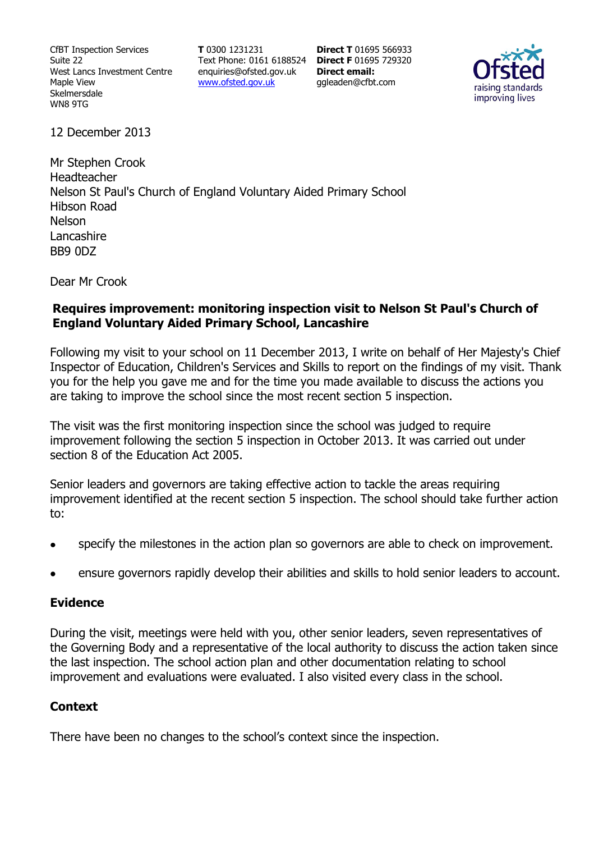CfBT Inspection Services Suite 22 West Lancs Investment Centre Maple View Skelmersdale WN8 9TG

**T** 0300 1231231 Text Phone: 0161 6188524 **Direct F** 01695 729320 enquiries@ofsted.gov.uk www.ofsted.gov.uk

**Direct T** 01695 566933 **Direct email:**  ggleaden@cfbt.com



12 December 2013

Mr Stephen Crook Headteacher Nelson St Paul's Church of England Voluntary Aided Primary School Hibson Road Nelson Lancashire BB9 0DZ

Dear Mr Crook

#### **Requires improvement: monitoring inspection visit to Nelson St Paul's Church of England Voluntary Aided Primary School, Lancashire**

Following my visit to your school on 11 December 2013, I write on behalf of Her Majesty's Chief Inspector of Education, Children's Services and Skills to report on the findings of my visit. Thank you for the help you gave me and for the time you made available to discuss the actions you are taking to improve the school since the most recent section 5 inspection.

The visit was the first monitoring inspection since the school was judged to require improvement following the section 5 inspection in October 2013. It was carried out under section 8 of the Education Act 2005.

Senior leaders and governors are taking effective action to tackle the areas requiring improvement identified at the recent section 5 inspection. The school should take further action to:

- specify the milestones in the action plan so governors are able to check on improvement.
- ensure governors rapidly develop their abilities and skills to hold senior leaders to account.

#### **Evidence**

During the visit, meetings were held with you, other senior leaders, seven representatives of the Governing Body and a representative of the local authority to discuss the action taken since the last inspection. The school action plan and other documentation relating to school improvement and evaluations were evaluated. I also visited every class in the school.

## **Context**

There have been no changes to the school's context since the inspection.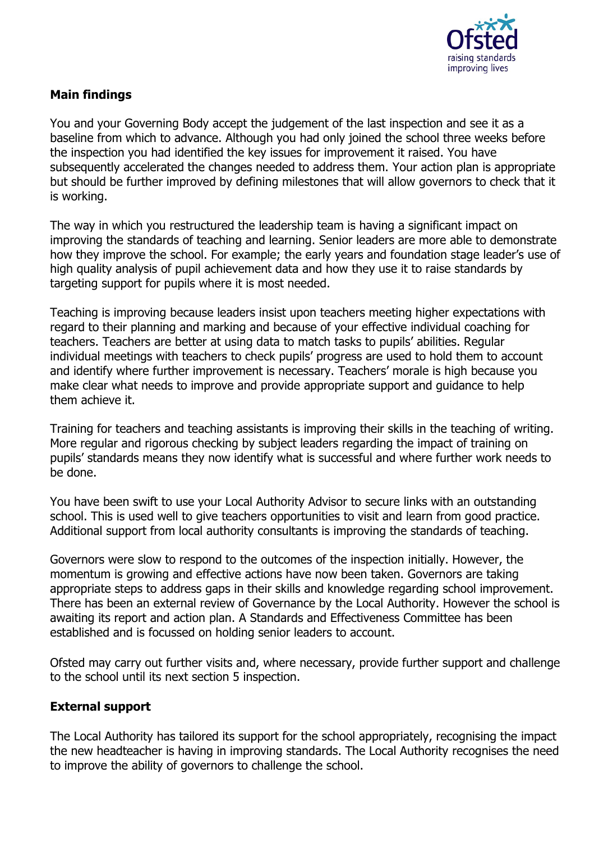

# **Main findings**

You and your Governing Body accept the judgement of the last inspection and see it as a baseline from which to advance. Although you had only joined the school three weeks before the inspection you had identified the key issues for improvement it raised. You have subsequently accelerated the changes needed to address them. Your action plan is appropriate but should be further improved by defining milestones that will allow governors to check that it is working.

The way in which you restructured the leadership team is having a significant impact on improving the standards of teaching and learning. Senior leaders are more able to demonstrate how they improve the school. For example; the early years and foundation stage leader's use of high quality analysis of pupil achievement data and how they use it to raise standards by targeting support for pupils where it is most needed.

Teaching is improving because leaders insist upon teachers meeting higher expectations with regard to their planning and marking and because of your effective individual coaching for teachers. Teachers are better at using data to match tasks to pupils' abilities. Regular individual meetings with teachers to check pupils' progress are used to hold them to account and identify where further improvement is necessary. Teachers' morale is high because you make clear what needs to improve and provide appropriate support and guidance to help them achieve it.

Training for teachers and teaching assistants is improving their skills in the teaching of writing. More regular and rigorous checking by subject leaders regarding the impact of training on pupils' standards means they now identify what is successful and where further work needs to be done.

You have been swift to use your Local Authority Advisor to secure links with an outstanding school. This is used well to give teachers opportunities to visit and learn from good practice. Additional support from local authority consultants is improving the standards of teaching.

Governors were slow to respond to the outcomes of the inspection initially. However, the momentum is growing and effective actions have now been taken. Governors are taking appropriate steps to address gaps in their skills and knowledge regarding school improvement. There has been an external review of Governance by the Local Authority. However the school is awaiting its report and action plan. A Standards and Effectiveness Committee has been established and is focussed on holding senior leaders to account.

Ofsted may carry out further visits and, where necessary, provide further support and challenge to the school until its next section 5 inspection.

## **External support**

The Local Authority has tailored its support for the school appropriately, recognising the impact the new headteacher is having in improving standards. The Local Authority recognises the need to improve the ability of governors to challenge the school.